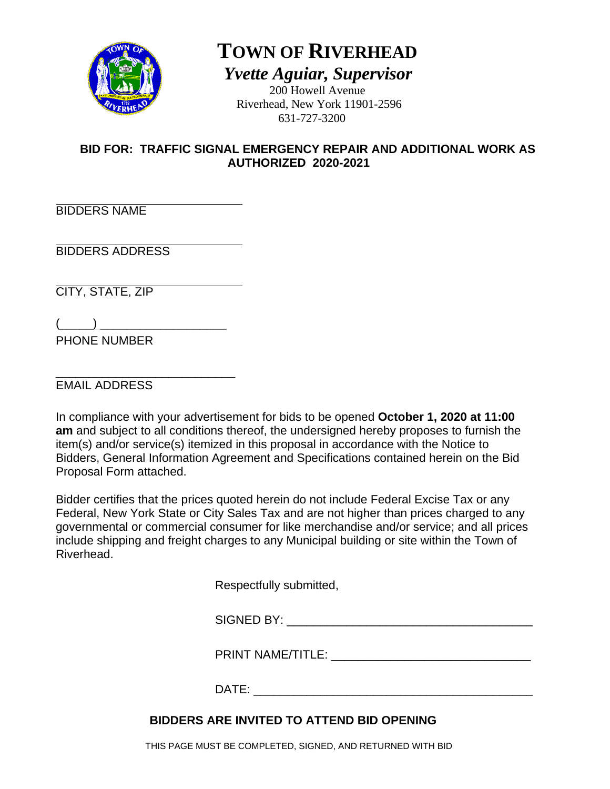

# **TOWN OF RIVERHEAD**  *Yvette Aguiar, Supervisor*

 200 Howell Avenue Riverhead, New York 11901-2596 631-727-3200

## **BID FOR: TRAFFIC SIGNAL EMERGENCY REPAIR AND ADDITIONAL WORK AS AUTHORIZED 2020-2021**

BIDDERS NAME

BIDDERS ADDRESS

CITY, STATE, ZIP

 $\overline{(\underline{\hspace{1cm}})}$ PHONE NUMBER

\_\_\_\_\_\_\_\_\_\_\_\_\_\_\_\_\_\_\_\_\_\_\_\_\_\_\_ EMAIL ADDRESS

In compliance with your advertisement for bids to be opened **October 1, 2020 at 11:00 am** and subject to all conditions thereof, the undersigned hereby proposes to furnish the item(s) and/or service(s) itemized in this proposal in accordance with the Notice to Bidders, General Information Agreement and Specifications contained herein on the Bid Proposal Form attached.

Bidder certifies that the prices quoted herein do not include Federal Excise Tax or any Federal, New York State or City Sales Tax and are not higher than prices charged to any governmental or commercial consumer for like merchandise and/or service; and all prices include shipping and freight charges to any Municipal building or site within the Town of Riverhead.

Respectfully submitted,

SIGNED BY:

PRINT NAME/TITLE: \_\_\_\_\_\_\_\_\_\_\_\_\_\_\_\_\_\_\_\_\_\_\_\_\_\_\_\_\_\_

 $\mathsf{DATE}:\mathsf{C} \longrightarrow \mathsf{C}$ 

# **BIDDERS ARE INVITED TO ATTEND BID OPENING**

THIS PAGE MUST BE COMPLETED, SIGNED, AND RETURNED WITH BID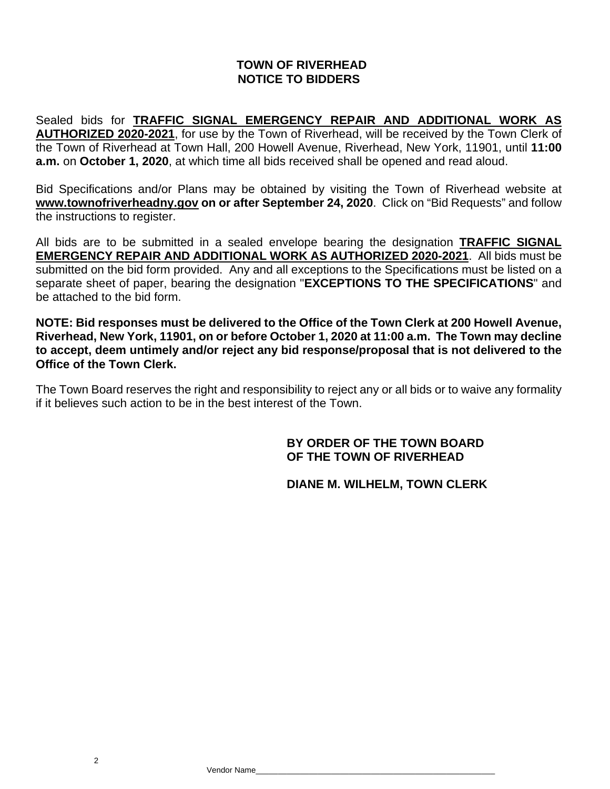## **TOWN OF RIVERHEAD NOTICE TO BIDDERS**

Sealed bids for **TRAFFIC SIGNAL EMERGENCY REPAIR AND ADDITIONAL WORK AS AUTHORIZED 2020-2021**, for use by the Town of Riverhead, will be received by the Town Clerk of the Town of Riverhead at Town Hall, 200 Howell Avenue, Riverhead, New York, 11901, until **11:00 a.m.** on **October 1, 2020**, at which time all bids received shall be opened and read aloud.

Bid Specifications and/or Plans may be obtained by visiting the Town of Riverhead website at **www.townofriverheadny.gov on or after September 24, 2020**. Click on "Bid Requests" and follow the instructions to register.

All bids are to be submitted in a sealed envelope bearing the designation **TRAFFIC SIGNAL EMERGENCY REPAIR AND ADDITIONAL WORK AS AUTHORIZED 2020-2021**. All bids must be submitted on the bid form provided. Any and all exceptions to the Specifications must be listed on a separate sheet of paper, bearing the designation "**EXCEPTIONS TO THE SPECIFICATIONS**" and be attached to the bid form.

**NOTE: Bid responses must be delivered to the Office of the Town Clerk at 200 Howell Avenue, Riverhead, New York, 11901, on or before October 1, 2020 at 11:00 a.m. The Town may decline to accept, deem untimely and/or reject any bid response/proposal that is not delivered to the Office of the Town Clerk.**

The Town Board reserves the right and responsibility to reject any or all bids or to waive any formality if it believes such action to be in the best interest of the Town.

## **BY ORDER OF THE TOWN BOARD OF THE TOWN OF RIVERHEAD**

## **DIANE M. WILHELM, TOWN CLERK**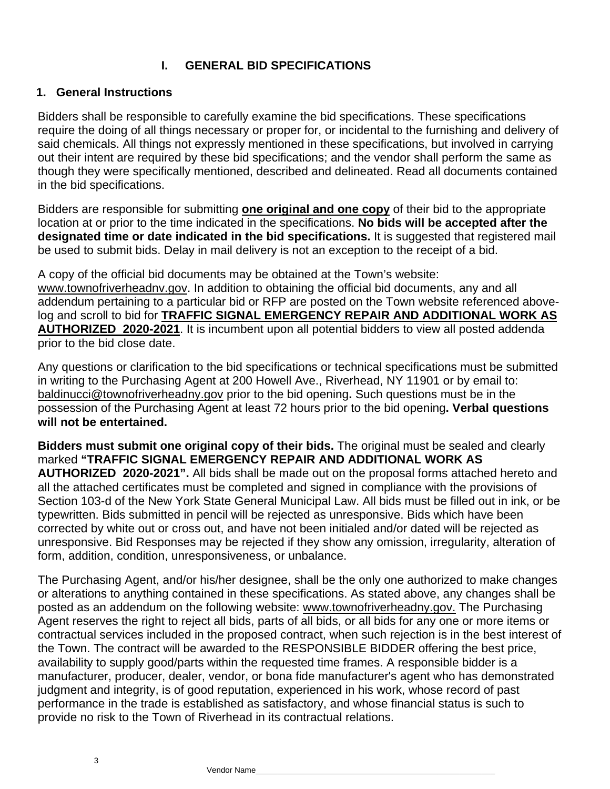## **I. GENERAL BID SPECIFICATIONS**

#### **1. General Instructions**

Bidders shall be responsible to carefully examine the bid specifications. These specifications require the doing of all things necessary or proper for, or incidental to the furnishing and delivery of said chemicals. All things not expressly mentioned in these specifications, but involved in carrying out their intent are required by these bid specifications; and the vendor shall perform the same as though they were specifically mentioned, described and delineated. Read all documents contained in the bid specifications.

Bidders are responsible for submitting **one original and one copy** of their bid to the appropriate location at or prior to the time indicated in the specifications. **No bids will be accepted after the designated time or date indicated in the bid specifications.** It is suggested that registered mail be used to submit bids. Delay in mail delivery is not an exception to the receipt of a bid.

A copy of the official bid documents may be obtained at the Town's website: www.townofriverheadnv.gov. In addition to obtaining the official bid documents, any and all addendum pertaining to a particular bid or RFP are posted on the Town website referenced abovelog and scroll to bid for **TRAFFIC SIGNAL EMERGENCY REPAIR AND ADDITIONAL WORK AS AUTHORIZED 2020-2021**. It is incumbent upon all potential bidders to view all posted addenda prior to the bid close date.

Any questions or clarification to the bid specifications or technical specifications must be submitted in writing to the Purchasing Agent at 200 Howell Ave., Riverhead, NY 11901 or by email to: baldinucci@townofriverheadny.gov prior to the bid opening**.** Such questions must be in the possession of the Purchasing Agent at least 72 hours prior to the bid opening**. Verbal questions will not be entertained.** 

**Bidders must submit one original copy of their bids.** The original must be sealed and clearly marked **"TRAFFIC SIGNAL EMERGENCY REPAIR AND ADDITIONAL WORK AS AUTHORIZED 2020-2021".** All bids shall be made out on the proposal forms attached hereto and all the attached certificates must be completed and signed in compliance with the provisions of Section 103-d of the New York State General Municipal Law. All bids must be filled out in ink, or be typewritten. Bids submitted in pencil will be rejected as unresponsive. Bids which have been corrected by white out or cross out, and have not been initialed and/or dated will be rejected as unresponsive. Bid Responses may be rejected if they show any omission, irregularity, alteration of form, addition, condition, unresponsiveness, or unbalance.

The Purchasing Agent, and/or his/her designee, shall be the only one authorized to make changes or alterations to anything contained in these specifications. As stated above, any changes shall be posted as an addendum on the following website: www.townofriverheadny.gov. The Purchasing Agent reserves the right to reject all bids, parts of all bids, or all bids for any one or more items or contractual services included in the proposed contract, when such rejection is in the best interest of the Town. The contract will be awarded to the RESPONSIBLE BIDDER offering the best price, availability to supply good/parts within the requested time frames. A responsible bidder is a manufacturer, producer, dealer, vendor, or bona fide manufacturer's agent who has demonstrated judgment and integrity, is of good reputation, experienced in his work, whose record of past performance in the trade is established as satisfactory, and whose financial status is such to provide no risk to the Town of Riverhead in its contractual relations.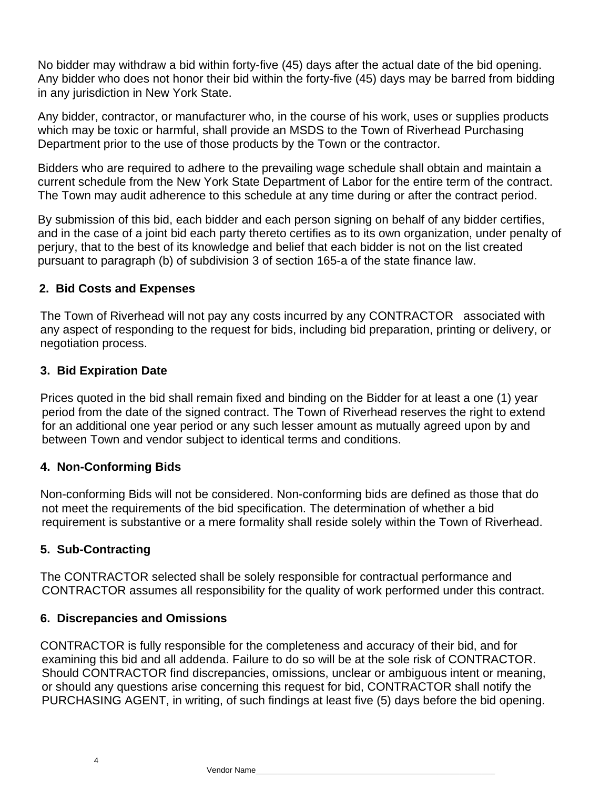No bidder may withdraw a bid within forty-five (45) days after the actual date of the bid opening. Any bidder who does not honor their bid within the forty-five (45) days may be barred from bidding in any jurisdiction in New York State.

Any bidder, contractor, or manufacturer who, in the course of his work, uses or supplies products which may be toxic or harmful, shall provide an MSDS to the Town of Riverhead Purchasing Department prior to the use of those products by the Town or the contractor.

Bidders who are required to adhere to the prevailing wage schedule shall obtain and maintain a current schedule from the New York State Department of Labor for the entire term of the contract. The Town may audit adherence to this schedule at any time during or after the contract period.

By submission of this bid, each bidder and each person signing on behalf of any bidder certifies, and in the case of a joint bid each party thereto certifies as to its own organization, under penalty of perjury, that to the best of its knowledge and belief that each bidder is not on the list created pursuant to paragraph (b) of subdivision 3 of section 165-a of the state finance law.

## **2. Bid Costs and Expenses**

 The Town of Riverhead will not pay any costs incurred by any CONTRACTOR associated with any aspect of responding to the request for bids, including bid preparation, printing or delivery, or negotiation process.

## **3. Bid Expiration Date**

Prices quoted in the bid shall remain fixed and binding on the Bidder for at least a one (1) year period from the date of the signed contract. The Town of Riverhead reserves the right to extend for an additional one year period or any such lesser amount as mutually agreed upon by and between Town and vendor subject to identical terms and conditions.

## **4. Non-Conforming Bids**

Non-conforming Bids will not be considered. Non-conforming bids are defined as those that do not meet the requirements of the bid specification. The determination of whether a bid requirement is substantive or a mere formality shall reside solely within the Town of Riverhead.

## **5. Sub-Contracting**

The CONTRACTOR selected shall be solely responsible for contractual performance and CONTRACTOR assumes all responsibility for the quality of work performed under this contract.

#### **6. Discrepancies and Omissions**

CONTRACTOR is fully responsible for the completeness and accuracy of their bid, and for examining this bid and all addenda. Failure to do so will be at the sole risk of CONTRACTOR. Should CONTRACTOR find discrepancies, omissions, unclear or ambiguous intent or meaning, or should any questions arise concerning this request for bid, CONTRACTOR shall notify the PURCHASING AGENT, in writing, of such findings at least five (5) days before the bid opening.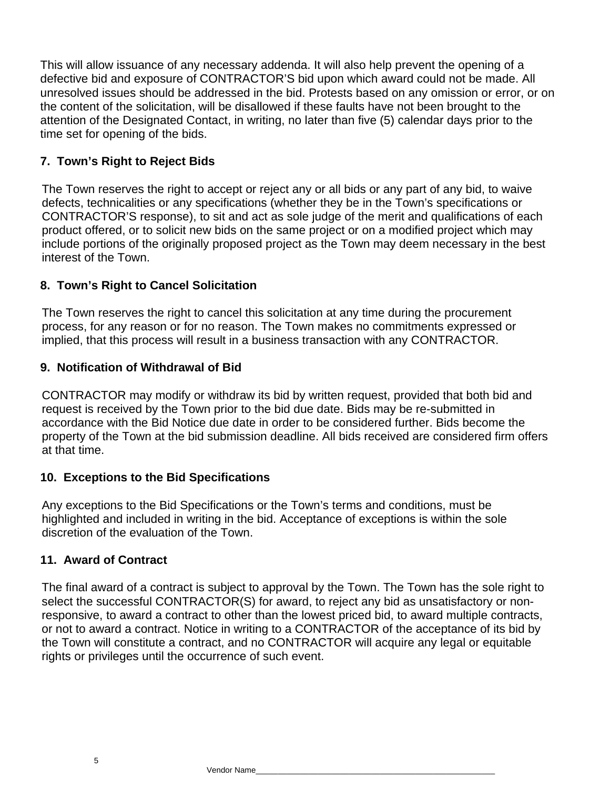This will allow issuance of any necessary addenda. It will also help prevent the opening of a defective bid and exposure of CONTRACTOR'S bid upon which award could not be made. All unresolved issues should be addressed in the bid. Protests based on any omission or error, or on the content of the solicitation, will be disallowed if these faults have not been brought to the attention of the Designated Contact, in writing, no later than five (5) calendar days prior to the time set for opening of the bids.

## **7. Town's Right to Reject Bids**

The Town reserves the right to accept or reject any or all bids or any part of any bid, to waive defects, technicalities or any specifications (whether they be in the Town's specifications or CONTRACTOR'S response), to sit and act as sole judge of the merit and qualifications of each product offered, or to solicit new bids on the same project or on a modified project which may include portions of the originally proposed project as the Town may deem necessary in the best interest of the Town.

## **8. Town's Right to Cancel Solicitation**

The Town reserves the right to cancel this solicitation at any time during the procurement process, for any reason or for no reason. The Town makes no commitments expressed or implied, that this process will result in a business transaction with any CONTRACTOR.

## **9. Notification of Withdrawal of Bid**

CONTRACTOR may modify or withdraw its bid by written request, provided that both bid and request is received by the Town prior to the bid due date. Bids may be re-submitted in accordance with the Bid Notice due date in order to be considered further. Bids become the property of the Town at the bid submission deadline. All bids received are considered firm offers at that time.

#### **10. Exceptions to the Bid Specifications**

Any exceptions to the Bid Specifications or the Town's terms and conditions, must be highlighted and included in writing in the bid. Acceptance of exceptions is within the sole discretion of the evaluation of the Town.

#### **11. Award of Contract**

The final award of a contract is subject to approval by the Town. The Town has the sole right to select the successful CONTRACTOR(S) for award, to reject any bid as unsatisfactory or nonresponsive, to award a contract to other than the lowest priced bid, to award multiple contracts, or not to award a contract. Notice in writing to a CONTRACTOR of the acceptance of its bid by the Town will constitute a contract, and no CONTRACTOR will acquire any legal or equitable rights or privileges until the occurrence of such event.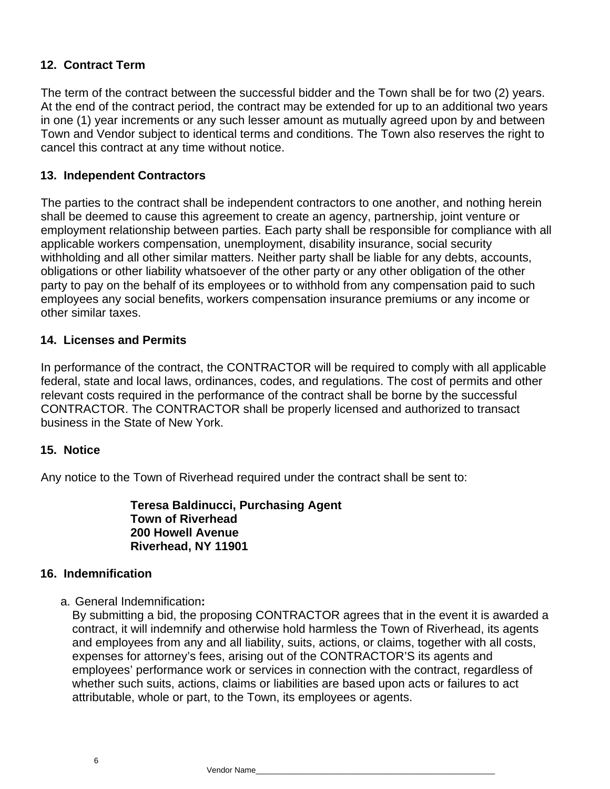## **12. Contract Term**

The term of the contract between the successful bidder and the Town shall be for two (2) years. At the end of the contract period, the contract may be extended for up to an additional two years in one (1) year increments or any such lesser amount as mutually agreed upon by and between Town and Vendor subject to identical terms and conditions. The Town also reserves the right to cancel this contract at any time without notice.

## **13. Independent Contractors**

The parties to the contract shall be independent contractors to one another, and nothing herein shall be deemed to cause this agreement to create an agency, partnership, joint venture or employment relationship between parties. Each party shall be responsible for compliance with all applicable workers compensation, unemployment, disability insurance, social security withholding and all other similar matters. Neither party shall be liable for any debts, accounts, obligations or other liability whatsoever of the other party or any other obligation of the other party to pay on the behalf of its employees or to withhold from any compensation paid to such employees any social benefits, workers compensation insurance premiums or any income or other similar taxes.

## **14. Licenses and Permits**

In performance of the contract, the CONTRACTOR will be required to comply with all applicable federal, state and local laws, ordinances, codes, and regulations. The cost of permits and other relevant costs required in the performance of the contract shall be borne by the successful CONTRACTOR. The CONTRACTOR shall be properly licensed and authorized to transact business in the State of New York.

#### **15. Notice**

Any notice to the Town of Riverhead required under the contract shall be sent to:

**Teresa Baldinucci, Purchasing Agent Town of Riverhead 200 Howell Avenue Riverhead, NY 11901** 

#### **16. Indemnification**

a. General Indemnification**:**

By submitting a bid, the proposing CONTRACTOR agrees that in the event it is awarded a contract, it will indemnify and otherwise hold harmless the Town of Riverhead, its agents and employees from any and all liability, suits, actions, or claims, together with all costs, expenses for attorney's fees, arising out of the CONTRACTOR'S its agents and employees' performance work or services in connection with the contract, regardless of whether such suits, actions, claims or liabilities are based upon acts or failures to act attributable, whole or part, to the Town, its employees or agents.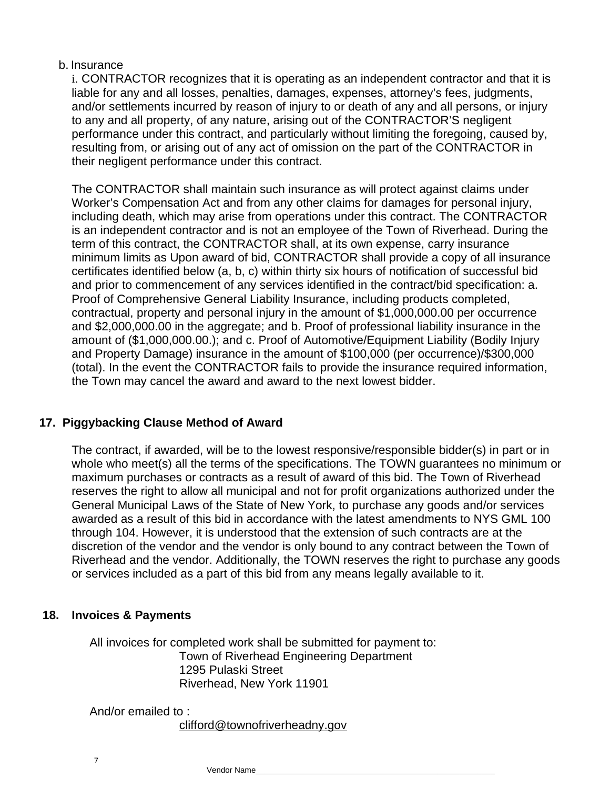## b. Insurance

i. CONTRACTOR recognizes that it is operating as an independent contractor and that it is liable for any and all losses, penalties, damages, expenses, attorney's fees, judgments, and/or settlements incurred by reason of injury to or death of any and all persons, or injury to any and all property, of any nature, arising out of the CONTRACTOR'S negligent performance under this contract, and particularly without limiting the foregoing, caused by, resulting from, or arising out of any act of omission on the part of the CONTRACTOR in their negligent performance under this contract.

The CONTRACTOR shall maintain such insurance as will protect against claims under Worker's Compensation Act and from any other claims for damages for personal injury, including death, which may arise from operations under this contract. The CONTRACTOR is an independent contractor and is not an employee of the Town of Riverhead. During the term of this contract, the CONTRACTOR shall, at its own expense, carry insurance minimum limits as Upon award of bid, CONTRACTOR shall provide a copy of all insurance certificates identified below (a, b, c) within thirty six hours of notification of successful bid and prior to commencement of any services identified in the contract/bid specification: a. Proof of Comprehensive General Liability Insurance, including products completed, contractual, property and personal injury in the amount of \$1,000,000.00 per occurrence and \$2,000,000.00 in the aggregate; and b. Proof of professional liability insurance in the amount of (\$1,000,000.00.); and c. Proof of Automotive/Equipment Liability (Bodily Injury and Property Damage) insurance in the amount of \$100,000 (per occurrence)/\$300,000 (total). In the event the CONTRACTOR fails to provide the insurance required information, the Town may cancel the award and award to the next lowest bidder.

## **17. Piggybacking Clause Method of Award**

The contract, if awarded, will be to the lowest responsive/responsible bidder(s) in part or in whole who meet(s) all the terms of the specifications. The TOWN guarantees no minimum or maximum purchases or contracts as a result of award of this bid. The Town of Riverhead reserves the right to allow all municipal and not for profit organizations authorized under the General Municipal Laws of the State of New York, to purchase any goods and/or services awarded as a result of this bid in accordance with the latest amendments to NYS GML 100 through 104. However, it is understood that the extension of such contracts are at the discretion of the vendor and the vendor is only bound to any contract between the Town of Riverhead and the vendor. Additionally, the TOWN reserves the right to purchase any goods or services included as a part of this bid from any means legally available to it.

## **18. Invoices & Payments**

 All invoices for completed work shall be submitted for payment to: Town of Riverhead Engineering Department 1295 Pulaski Street Riverhead, New York 11901

And/or emailed to :

clifford@townofriverheadny.gov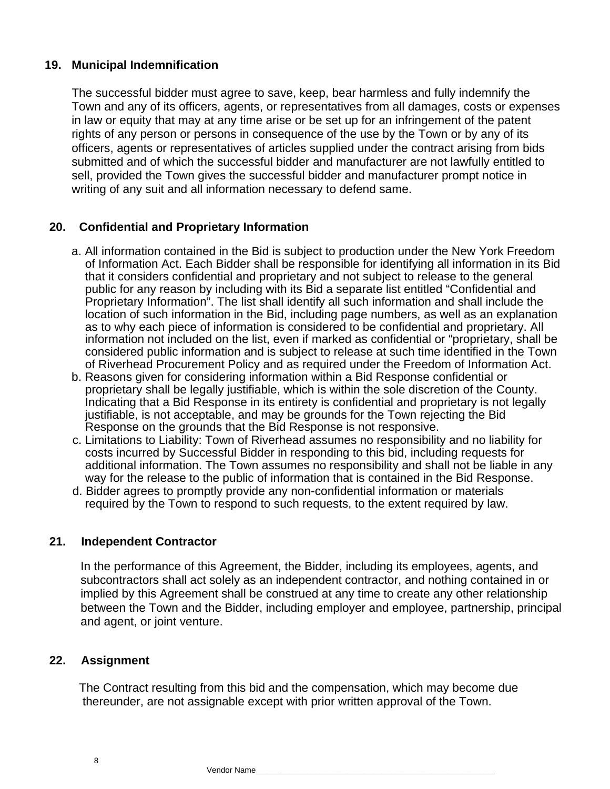## **19. Municipal Indemnification**

The successful bidder must agree to save, keep, bear harmless and fully indemnify the Town and any of its officers, agents, or representatives from all damages, costs or expenses in law or equity that may at any time arise or be set up for an infringement of the patent rights of any person or persons in consequence of the use by the Town or by any of its officers, agents or representatives of articles supplied under the contract arising from bids submitted and of which the successful bidder and manufacturer are not lawfully entitled to sell, provided the Town gives the successful bidder and manufacturer prompt notice in writing of any suit and all information necessary to defend same.

## **20. Confidential and Proprietary Information**

- a. All information contained in the Bid is subject to production under the New York Freedom of Information Act. Each Bidder shall be responsible for identifying all information in its Bid that it considers confidential and proprietary and not subject to release to the general public for any reason by including with its Bid a separate list entitled "Confidential and Proprietary Information". The list shall identify all such information and shall include the location of such information in the Bid, including page numbers, as well as an explanation as to why each piece of information is considered to be confidential and proprietary. All information not included on the list, even if marked as confidential or "proprietary, shall be considered public information and is subject to release at such time identified in the Town of Riverhead Procurement Policy and as required under the Freedom of Information Act.
- b. Reasons given for considering information within a Bid Response confidential or proprietary shall be legally justifiable, which is within the sole discretion of the County. Indicating that a Bid Response in its entirety is confidential and proprietary is not legally justifiable, is not acceptable, and may be grounds for the Town rejecting the Bid Response on the grounds that the Bid Response is not responsive.
- c. Limitations to Liability: Town of Riverhead assumes no responsibility and no liability for costs incurred by Successful Bidder in responding to this bid, including requests for additional information. The Town assumes no responsibility and shall not be liable in any way for the release to the public of information that is contained in the Bid Response.
- d. Bidder agrees to promptly provide any non-confidential information or materials required by the Town to respond to such requests, to the extent required by law.

#### **21. Independent Contractor**

In the performance of this Agreement, the Bidder, including its employees, agents, and subcontractors shall act solely as an independent contractor, and nothing contained in or implied by this Agreement shall be construed at any time to create any other relationship between the Town and the Bidder, including employer and employee, partnership, principal and agent, or joint venture.

#### **22. Assignment**

 The Contract resulting from this bid and the compensation, which may become due thereunder, are not assignable except with prior written approval of the Town.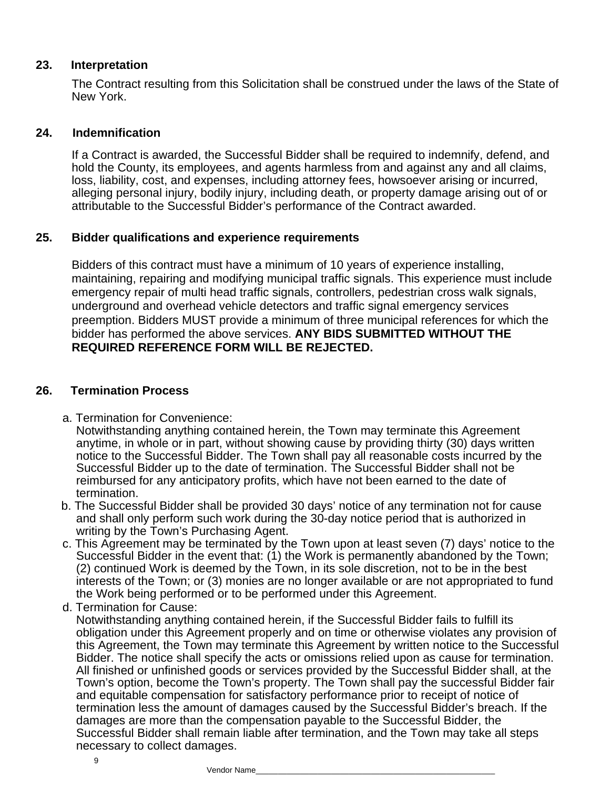#### **23. Interpretation**

The Contract resulting from this Solicitation shall be construed under the laws of the State of New York.

#### **24. Indemnification**

If a Contract is awarded, the Successful Bidder shall be required to indemnify, defend, and hold the County, its employees, and agents harmless from and against any and all claims, loss, liability, cost, and expenses, including attorney fees, howsoever arising or incurred, alleging personal injury, bodily injury, including death, or property damage arising out of or attributable to the Successful Bidder's performance of the Contract awarded.

#### **25. Bidder qualifications and experience requirements**

Bidders of this contract must have a minimum of 10 years of experience installing, maintaining, repairing and modifying municipal traffic signals. This experience must include emergency repair of multi head traffic signals, controllers, pedestrian cross walk signals, underground and overhead vehicle detectors and traffic signal emergency services preemption. Bidders MUST provide a minimum of three municipal references for which the bidder has performed the above services. **ANY BIDS SUBMITTED WITHOUT THE REQUIRED REFERENCE FORM WILL BE REJECTED.**

#### **26. Termination Process**

a. Termination for Convenience:

Notwithstanding anything contained herein, the Town may terminate this Agreement anytime, in whole or in part, without showing cause by providing thirty (30) days written notice to the Successful Bidder. The Town shall pay all reasonable costs incurred by the Successful Bidder up to the date of termination. The Successful Bidder shall not be reimbursed for any anticipatory profits, which have not been earned to the date of termination.

- b. The Successful Bidder shall be provided 30 days' notice of any termination not for cause and shall only perform such work during the 30-day notice period that is authorized in writing by the Town's Purchasing Agent.
- c. This Agreement may be terminated by the Town upon at least seven (7) days' notice to the Successful Bidder in the event that: (1) the Work is permanently abandoned by the Town; (2) continued Work is deemed by the Town, in its sole discretion, not to be in the best interests of the Town; or (3) monies are no longer available or are not appropriated to fund the Work being performed or to be performed under this Agreement.
- d. Termination for Cause:

Notwithstanding anything contained herein, if the Successful Bidder fails to fulfill its obligation under this Agreement properly and on time or otherwise violates any provision of this Agreement, the Town may terminate this Agreement by written notice to the Successful Bidder. The notice shall specify the acts or omissions relied upon as cause for termination. All finished or unfinished goods or services provided by the Successful Bidder shall, at the Town's option, become the Town's property. The Town shall pay the successful Bidder fair and equitable compensation for satisfactory performance prior to receipt of notice of termination less the amount of damages caused by the Successful Bidder's breach. If the damages are more than the compensation payable to the Successful Bidder, the Successful Bidder shall remain liable after termination, and the Town may take all steps necessary to collect damages.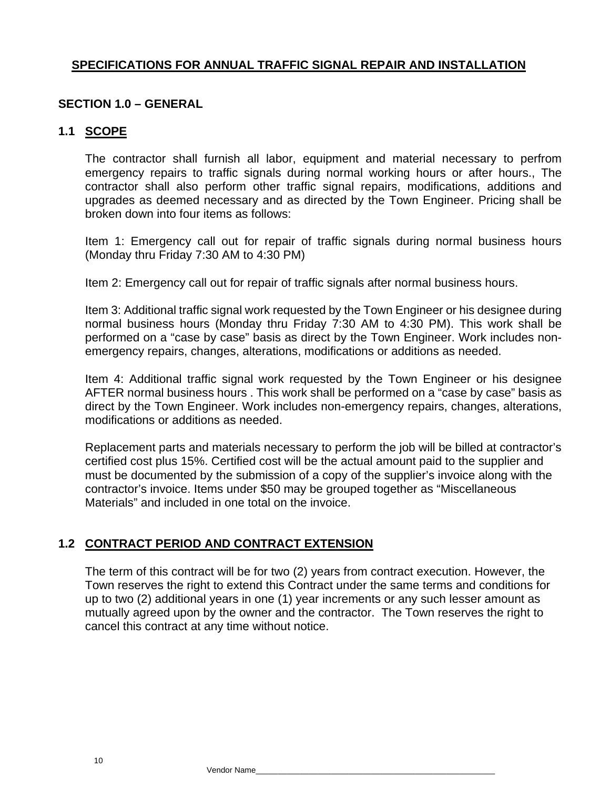## **SPECIFICATIONS FOR ANNUAL TRAFFIC SIGNAL REPAIR AND INSTALLATION**

## **SECTION 1.0 – GENERAL**

#### **1.1 SCOPE**

The contractor shall furnish all labor, equipment and material necessary to perfrom emergency repairs to traffic signals during normal working hours or after hours., The contractor shall also perform other traffic signal repairs, modifications, additions and upgrades as deemed necessary and as directed by the Town Engineer. Pricing shall be broken down into four items as follows:

Item 1: Emergency call out for repair of traffic signals during normal business hours (Monday thru Friday 7:30 AM to 4:30 PM)

Item 2: Emergency call out for repair of traffic signals after normal business hours.

Item 3: Additional traffic signal work requested by the Town Engineer or his designee during normal business hours (Monday thru Friday 7:30 AM to 4:30 PM). This work shall be performed on a "case by case" basis as direct by the Town Engineer. Work includes nonemergency repairs, changes, alterations, modifications or additions as needed.

Item 4: Additional traffic signal work requested by the Town Engineer or his designee AFTER normal business hours . This work shall be performed on a "case by case" basis as direct by the Town Engineer. Work includes non-emergency repairs, changes, alterations, modifications or additions as needed.

Replacement parts and materials necessary to perform the job will be billed at contractor's certified cost plus 15%. Certified cost will be the actual amount paid to the supplier and must be documented by the submission of a copy of the supplier's invoice along with the contractor's invoice. Items under \$50 may be grouped together as "Miscellaneous Materials" and included in one total on the invoice.

## **1.2 CONTRACT PERIOD AND CONTRACT EXTENSION**

The term of this contract will be for two (2) years from contract execution. However, the Town reserves the right to extend this Contract under the same terms and conditions for up to two (2) additional years in one (1) year increments or any such lesser amount as mutually agreed upon by the owner and the contractor. The Town reserves the right to cancel this contract at any time without notice.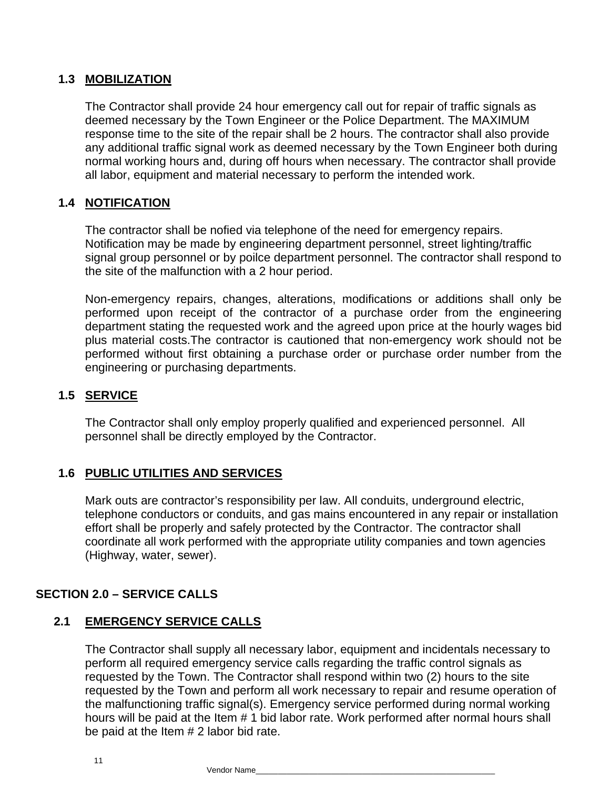## **1.3 MOBILIZATION**

The Contractor shall provide 24 hour emergency call out for repair of traffic signals as deemed necessary by the Town Engineer or the Police Department. The MAXIMUM response time to the site of the repair shall be 2 hours. The contractor shall also provide any additional traffic signal work as deemed necessary by the Town Engineer both during normal working hours and, during off hours when necessary. The contractor shall provide all labor, equipment and material necessary to perform the intended work.

## **1.4 NOTIFICATION**

The contractor shall be nofied via telephone of the need for emergency repairs. Notification may be made by engineering department personnel, street lighting/traffic signal group personnel or by poilce department personnel. The contractor shall respond to the site of the malfunction with a 2 hour period.

Non-emergency repairs, changes, alterations, modifications or additions shall only be performed upon receipt of the contractor of a purchase order from the engineering department stating the requested work and the agreed upon price at the hourly wages bid plus material costs.The contractor is cautioned that non-emergency work should not be performed without first obtaining a purchase order or purchase order number from the engineering or purchasing departments.

## **1.5 SERVICE**

The Contractor shall only employ properly qualified and experienced personnel. All personnel shall be directly employed by the Contractor.

#### **1.6 PUBLIC UTILITIES AND SERVICES**

Mark outs are contractor's responsibility per law. All conduits, underground electric, telephone conductors or conduits, and gas mains encountered in any repair or installation effort shall be properly and safely protected by the Contractor. The contractor shall coordinate all work performed with the appropriate utility companies and town agencies (Highway, water, sewer).

#### **SECTION 2.0 – SERVICE CALLS**

#### **2.1 EMERGENCY SERVICE CALLS**

The Contractor shall supply all necessary labor, equipment and incidentals necessary to perform all required emergency service calls regarding the traffic control signals as requested by the Town. The Contractor shall respond within two (2) hours to the site requested by the Town and perform all work necessary to repair and resume operation of the malfunctioning traffic signal(s). Emergency service performed during normal working hours will be paid at the Item # 1 bid labor rate. Work performed after normal hours shall be paid at the Item # 2 labor bid rate.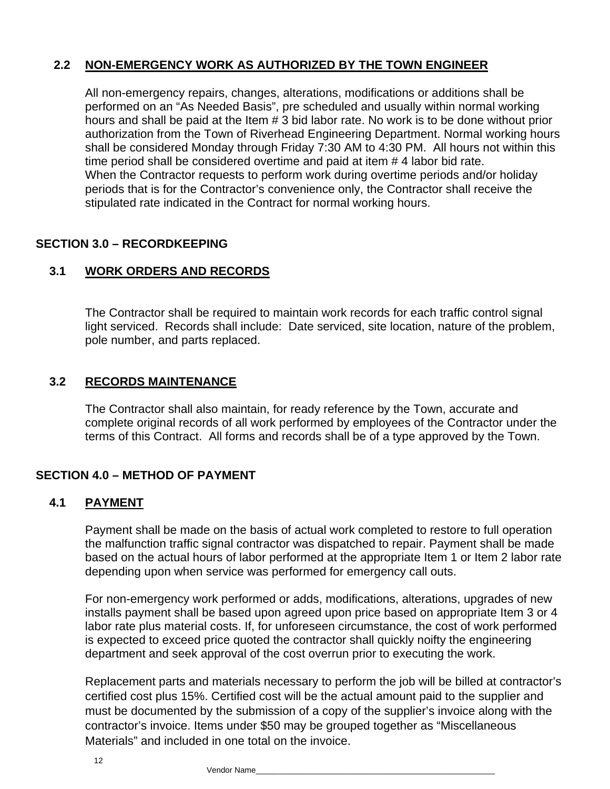## **2.2 NON-EMERGENCY WORK AS AUTHORIZED BY THE TOWN ENGINEER**

All non-emergency repairs, changes, alterations, modifications or additions shall be performed on an "As Needed Basis", pre scheduled and usually within normal working hours and shall be paid at the Item # 3 bid labor rate. No work is to be done without prior authorization from the Town of Riverhead Engineering Department. Normal working hours shall be considered Monday through Friday 7:30 AM to 4:30 PM. All hours not within this time period shall be considered overtime and paid at item # 4 labor bid rate. When the Contractor requests to perform work during overtime periods and/or holiday periods that is for the Contractor's convenience only, the Contractor shall receive the stipulated rate indicated in the Contract for normal working hours.

## **SECTION 3.0 – RECORDKEEPING**

## **3.1 WORK ORDERS AND RECORDS**

The Contractor shall be required to maintain work records for each traffic control signal light serviced. Records shall include: Date serviced, site location, nature of the problem, pole number, and parts replaced.

## **3.2 RECORDS MAINTENANCE**

The Contractor shall also maintain, for ready reference by the Town, accurate and complete original records of all work performed by employees of the Contractor under the terms of this Contract. All forms and records shall be of a type approved by the Town.

#### **SECTION 4.0 – METHOD OF PAYMENT**

#### **4.1 PAYMENT**

Payment shall be made on the basis of actual work completed to restore to full operation the malfunction traffic signal contractor was dispatched to repair. Payment shall be made based on the actual hours of labor performed at the appropriate Item 1 or Item 2 labor rate depending upon when service was performed for emergency call outs.

For non-emergency work performed or adds, modifications, alterations, upgrades of new installs payment shall be based upon agreed upon price based on appropriate Item 3 or 4 labor rate plus material costs. If, for unforeseen circumstance, the cost of work performed is expected to exceed price quoted the contractor shall quickly noifty the engineering department and seek approval of the cost overrun prior to executing the work.

Replacement parts and materials necessary to perform the job will be billed at contractor's certified cost plus 15%. Certified cost will be the actual amount paid to the supplier and must be documented by the submission of a copy of the supplier's invoice along with the contractor's invoice. Items under \$50 may be grouped together as "Miscellaneous Materials" and included in one total on the invoice.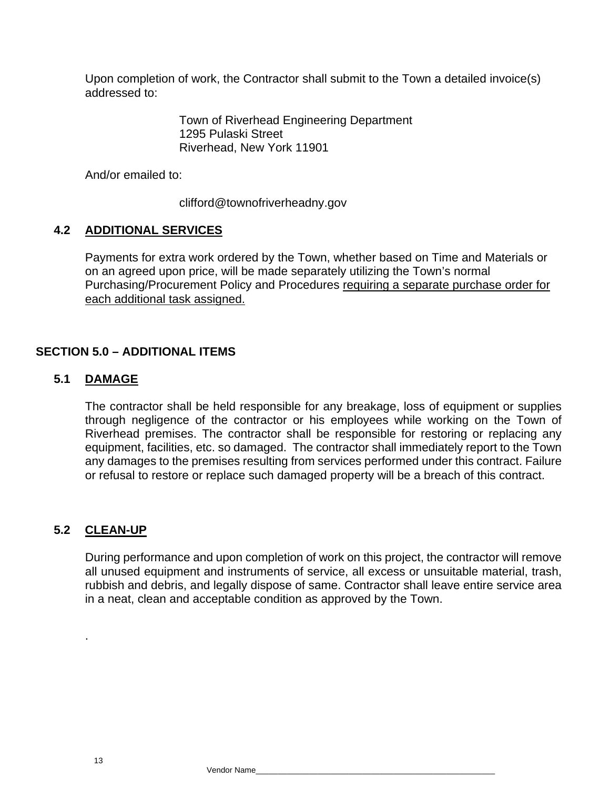Upon completion of work, the Contractor shall submit to the Town a detailed invoice(s) addressed to:

> Town of Riverhead Engineering Department 1295 Pulaski Street Riverhead, New York 11901

And/or emailed to:

clifford@townofriverheadny.gov

## **4.2 ADDITIONAL SERVICES**

Payments for extra work ordered by the Town, whether based on Time and Materials or on an agreed upon price, will be made separately utilizing the Town's normal Purchasing/Procurement Policy and Procedures requiring a separate purchase order for each additional task assigned.

## **SECTION 5.0 – ADDITIONAL ITEMS**

## **5.1 DAMAGE**

The contractor shall be held responsible for any breakage, loss of equipment or supplies through negligence of the contractor or his employees while working on the Town of Riverhead premises. The contractor shall be responsible for restoring or replacing any equipment, facilities, etc. so damaged. The contractor shall immediately report to the Town any damages to the premises resulting from services performed under this contract. Failure or refusal to restore or replace such damaged property will be a breach of this contract.

# **5.2 CLEAN-UP**

.

During performance and upon completion of work on this project, the contractor will remove all unused equipment and instruments of service, all excess or unsuitable material, trash, rubbish and debris, and legally dispose of same. Contractor shall leave entire service area in a neat, clean and acceptable condition as approved by the Town.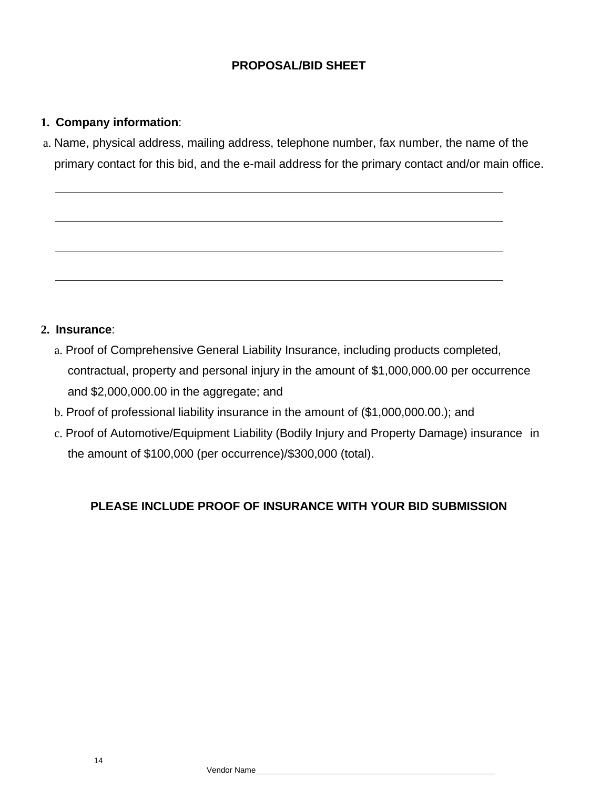## **PROPOSAL/BID SHEET**

## **1. Company information**:

a. Name, physical address, mailing address, telephone number, fax number, the name of the primary contact for this bid, and the e-mail address for the primary contact and/or main office.

#### **2. Insurance**:

- a. Proof of Comprehensive General Liability Insurance, including products completed, contractual, property and personal injury in the amount of \$1,000,000.00 per occurrence and \$2,000,000.00 in the aggregate; and
- b. Proof of professional liability insurance in the amount of (\$1,000,000.00.); and
- c. Proof of Automotive/Equipment Liability (Bodily Injury and Property Damage) insurance in the amount of \$100,000 (per occurrence)/\$300,000 (total).

## **PLEASE INCLUDE PROOF OF INSURANCE WITH YOUR BID SUBMISSION**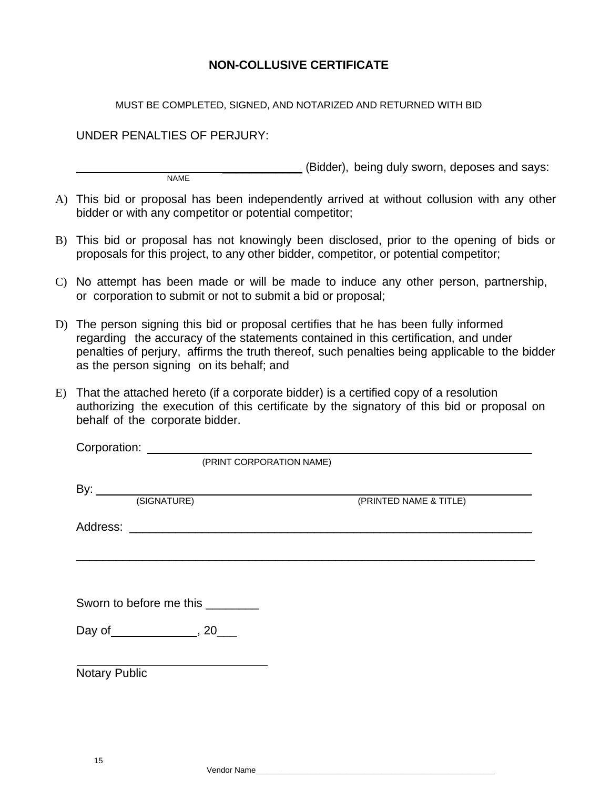## **NON-COLLUSIVE CERTIFICATE**

#### MUST BE COMPLETED, SIGNED, AND NOTARIZED AND RETURNED WITH BID

#### UNDER PENALTIES OF PERJURY:

(Bidder), being duly sworn, deposes and says: NAME

- A) This bid or proposal has been independently arrived at without collusion with any other bidder or with any competitor or potential competitor;
- B) This bid or proposal has not knowingly been disclosed, prior to the opening of bids or proposals for this project, to any other bidder, competitor, or potential competitor;
- C) No attempt has been made or will be made to induce any other person, partnership, or corporation to submit or not to submit a bid or proposal;
- D) The person signing this bid or proposal certifies that he has been fully informed regarding the accuracy of the statements contained in this certification, and under penalties of perjury, affirms the truth thereof, such penalties being applicable to the bidder as the person signing on its behalf; and
- E) That the attached hereto (if a corporate bidder) is a certified copy of a resolution authorizing the execution of this certificate by the signatory of this bid or proposal on behalf of the corporate bidder.

| Corporation: <u>_______________________________</u> |                        |
|-----------------------------------------------------|------------------------|
| (PRINT CORPORATION NAME)                            |                        |
|                                                     |                        |
| By: $\overline{\phantom{a}}$                        |                        |
| (SIGNATURE)                                         | (PRINTED NAME & TITLE) |
|                                                     |                        |
|                                                     |                        |
|                                                     |                        |
|                                                     |                        |
| Sworn to before me this _________                   |                        |
|                                                     |                        |
|                                                     |                        |
|                                                     |                        |
| <b>Notary Public</b>                                |                        |
|                                                     |                        |

15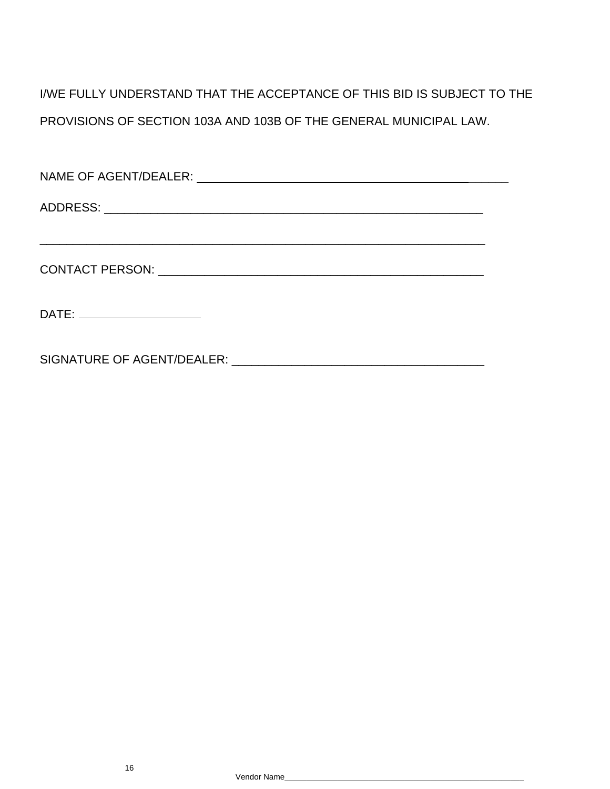I/WE FULLY UNDERSTAND THAT THE ACCEPTANCE OF THIS BID IS SUBJECT TO THE PROVISIONS OF SECTION 103A AND 103B OF THE GENERAL MUNICIPAL LAW.

| DATE: ________________________ |
|--------------------------------|
|                                |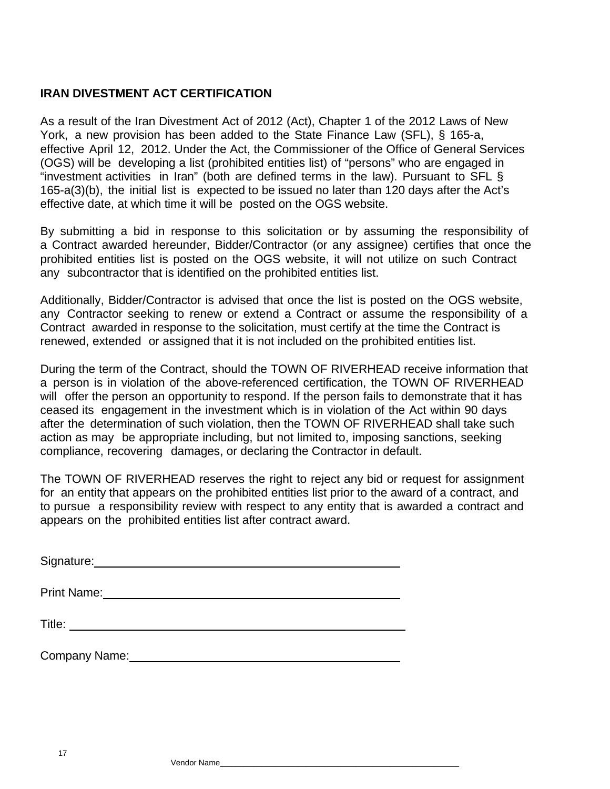## **IRAN DIVESTMENT ACT CERTIFICATION**

As a result of the Iran Divestment Act of 2012 (Act), Chapter 1 of the 2012 Laws of New York, a new provision has been added to the State Finance Law (SFL), § 165-a, effective April 12, 2012. Under the Act, the Commissioner of the Office of General Services (OGS) will be developing a list (prohibited entities list) of "persons" who are engaged in "investment activities in Iran" (both are defined terms in the law). Pursuant to SFL § 165-a(3)(b), the initial list is expected to be issued no later than 120 days after the Act's effective date, at which time it will be posted on the OGS website.

By submitting a bid in response to this solicitation or by assuming the responsibility of a Contract awarded hereunder, Bidder/Contractor (or any assignee) certifies that once the prohibited entities list is posted on the OGS website, it will not utilize on such Contract any subcontractor that is identified on the prohibited entities list.

Additionally, Bidder/Contractor is advised that once the list is posted on the OGS website, any Contractor seeking to renew or extend a Contract or assume the responsibility of a Contract awarded in response to the solicitation, must certify at the time the Contract is renewed, extended or assigned that it is not included on the prohibited entities list.

During the term of the Contract, should the TOWN OF RIVERHEAD receive information that a person is in violation of the above-referenced certification, the TOWN OF RIVERHEAD will offer the person an opportunity to respond. If the person fails to demonstrate that it has ceased its engagement in the investment which is in violation of the Act within 90 days after the determination of such violation, then the TOWN OF RIVERHEAD shall take such action as may be appropriate including, but not limited to, imposing sanctions, seeking compliance, recovering damages, or declaring the Contractor in default.

The TOWN OF RIVERHEAD reserves the right to reject any bid or request for assignment for an entity that appears on the prohibited entities list prior to the award of a contract, and to pursue a responsibility review with respect to any entity that is awarded a contract and appears on the prohibited entities list after contract award.

Signature: **Signature: Signature: Signature: Signature: Signature: Signature: Signature: Signature: Signature: Signature: Signature: Signature: Signature: Signature: Signature: Signature: Si** 

Print Name:

Title:

Company Name: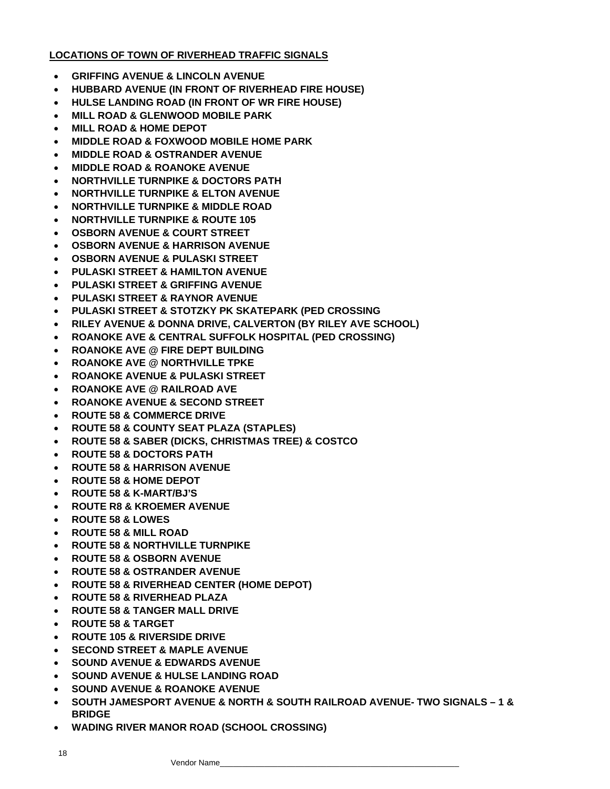#### **LOCATIONS OF TOWN OF RIVERHEAD TRAFFIC SIGNALS**

- **GRIFFING AVENUE & LINCOLN AVENUE**
- **HUBBARD AVENUE (IN FRONT OF RIVERHEAD FIRE HOUSE)**
- **HULSE LANDING ROAD (IN FRONT OF WR FIRE HOUSE)**
- **MILL ROAD & GLENWOOD MOBILE PARK**
- **MILL ROAD & HOME DEPOT**
- **MIDDLE ROAD & FOXWOOD MOBILE HOME PARK**
- **MIDDLE ROAD & OSTRANDER AVENUE**
- **MIDDLE ROAD & ROANOKE AVENUE**
- **NORTHVILLE TURNPIKE & DOCTORS PATH**
- **NORTHVILLE TURNPIKE & ELTON AVENUE**
- **NORTHVILLE TURNPIKE & MIDDLE ROAD**
- **NORTHVILLE TURNPIKE & ROUTE 105**
- **OSBORN AVENUE & COURT STREET**
- **OSBORN AVENUE & HARRISON AVENUE**
- **OSBORN AVENUE & PULASKI STREET**
- **PULASKI STREET & HAMILTON AVENUE**
- **PULASKI STREET & GRIFFING AVENUE**
- **PULASKI STREET & RAYNOR AVENUE**
- **PULASKI STREET & STOTZKY PK SKATEPARK (PED CROSSING**
- **RILEY AVENUE & DONNA DRIVE, CALVERTON (BY RILEY AVE SCHOOL)**
- **ROANOKE AVE & CENTRAL SUFFOLK HOSPITAL (PED CROSSING)**
- **ROANOKE AVE @ FIRE DEPT BUILDING**
- **ROANOKE AVE @ NORTHVILLE TPKE**
- **ROANOKE AVENUE & PULASKI STREET**
- **ROANOKE AVE @ RAILROAD AVE**
- **ROANOKE AVENUE & SECOND STREET**
- **ROUTE 58 & COMMERCE DRIVE**
- **ROUTE 58 & COUNTY SEAT PLAZA (STAPLES)**
- **ROUTE 58 & SABER (DICKS, CHRISTMAS TREE) & COSTCO**
- **ROUTE 58 & DOCTORS PATH**
- **ROUTE 58 & HARRISON AVENUE**
- **ROUTE 58 & HOME DEPOT**
- **ROUTE 58 & K-MART/BJ'S**
- **ROUTE R8 & KROEMER AVENUE**
- **ROUTE 58 & LOWES**
- **ROUTE 58 & MILL ROAD**
- **ROUTE 58 & NORTHVILLE TURNPIKE**
- **ROUTE 58 & OSBORN AVENUE**
- **ROUTE 58 & OSTRANDER AVENUE**
- **ROUTE 58 & RIVERHEAD CENTER (HOME DEPOT)**
- **ROUTE 58 & RIVERHEAD PLAZA**
- **ROUTE 58 & TANGER MALL DRIVE**
- **ROUTE 58 & TARGET**
- **ROUTE 105 & RIVERSIDE DRIVE**
- **SECOND STREET & MAPLE AVENUE**
- **SOUND AVENUE & EDWARDS AVENUE**
- **SOUND AVENUE & HULSE LANDING ROAD**
- **SOUND AVENUE & ROANOKE AVENUE**
- **SOUTH JAMESPORT AVENUE & NORTH & SOUTH RAILROAD AVENUE- TWO SIGNALS 1 & BRIDGE**
- **WADING RIVER MANOR ROAD (SCHOOL CROSSING)**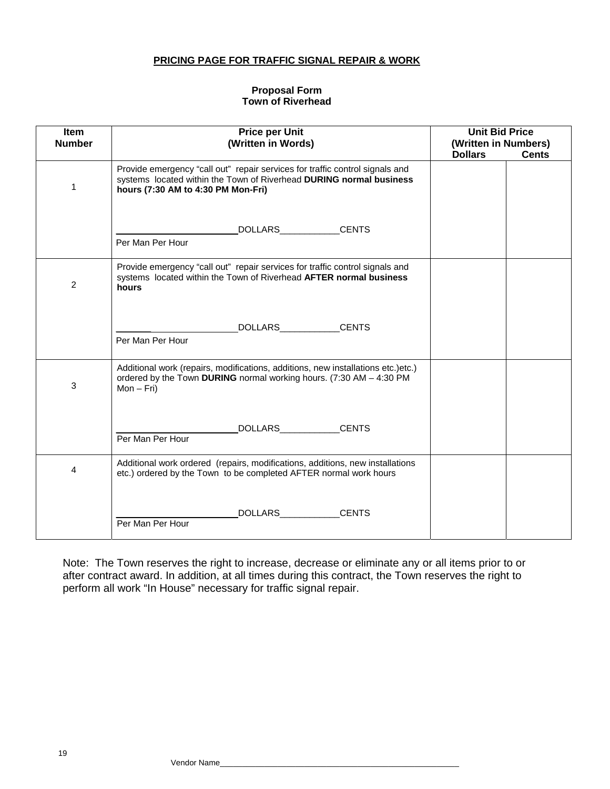#### **PRICING PAGE FOR TRAFFIC SIGNAL REPAIR & WORK**

#### **Proposal Form Town of Riverhead**

| Item<br><b>Number</b> | <b>Price per Unit</b><br>(Written in Words)                                                                                                                                               | <b>Unit Bid Price</b><br>(Written in Numbers)<br><b>Dollars</b><br><b>Cents</b> |  |
|-----------------------|-------------------------------------------------------------------------------------------------------------------------------------------------------------------------------------------|---------------------------------------------------------------------------------|--|
| 1                     | Provide emergency "call out" repair services for traffic control signals and<br>systems located within the Town of Riverhead DURING normal business<br>hours (7:30 AM to 4:30 PM Mon-Fri) |                                                                                 |  |
|                       | DOLLARS____________CENTS<br>Per Man Per Hour                                                                                                                                              |                                                                                 |  |
| $\overline{2}$        | Provide emergency "call out" repair services for traffic control signals and<br>systems located within the Town of Riverhead AFTER normal business<br>hours                               |                                                                                 |  |
|                       | <b>CENTS</b><br>Per Man Per Hour                                                                                                                                                          |                                                                                 |  |
| $\mathbf{3}$          | Additional work (repairs, modifications, additions, new installations etc.)etc.)<br>ordered by the Town DURING normal working hours. (7:30 AM - 4:30 PM<br>$Mon - Fri)$                   |                                                                                 |  |
|                       | <b>CENTS</b><br>DOLLARS <b>DOLLARS</b><br>Per Man Per Hour                                                                                                                                |                                                                                 |  |
| 4                     | Additional work ordered (repairs, modifications, additions, new installations<br>etc.) ordered by the Town to be completed AFTER normal work hours                                        |                                                                                 |  |
|                       | <b>CENTS</b><br>DOLLARS <b>DOLLARS</b><br>Per Man Per Hour                                                                                                                                |                                                                                 |  |

Note: The Town reserves the right to increase, decrease or eliminate any or all items prior to or after contract award. In addition, at all times during this contract, the Town reserves the right to perform all work "In House" necessary for traffic signal repair.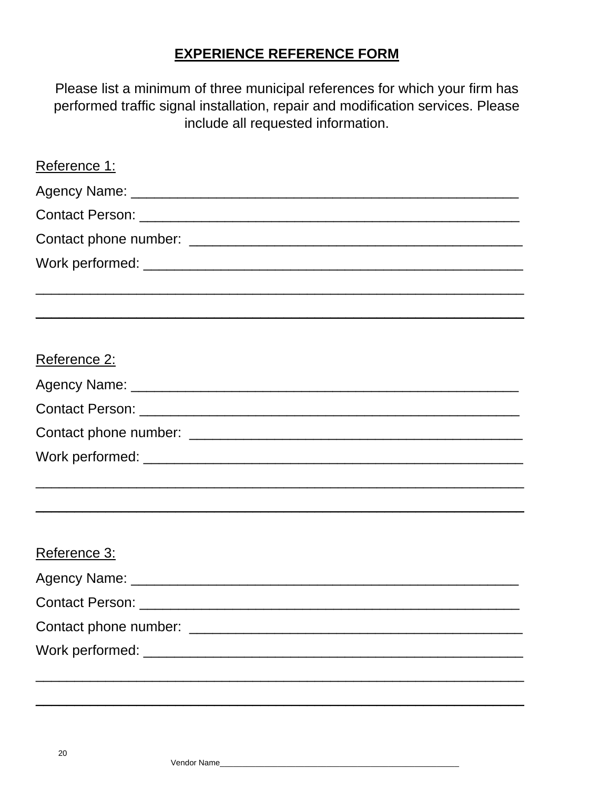# **EXPERIENCE REFERENCE FORM**

Please list a minimum of three municipal references for which your firm has performed traffic signal installation, repair and modification services. Please include all requested information.

| Reference 1: |  |
|--------------|--|
|              |  |
|              |  |
|              |  |
|              |  |
|              |  |
| Reference 2: |  |
|              |  |
|              |  |
|              |  |
|              |  |
|              |  |
| Reference 3: |  |
|              |  |
|              |  |
|              |  |
|              |  |
|              |  |